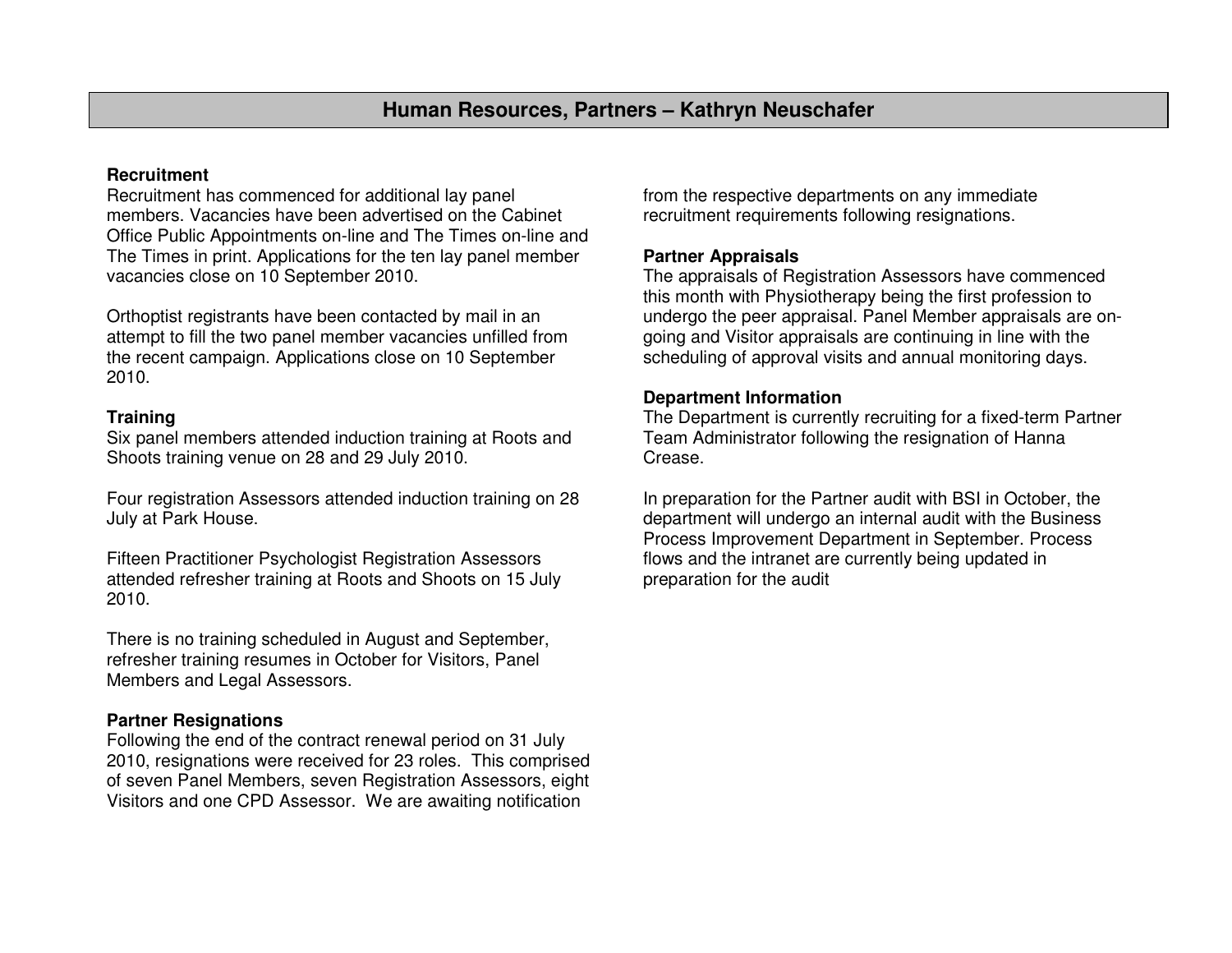# **Recruitment**

 Recruitment has commenced for additional lay panel members. Vacancies have been advertised on the Cabinet Office Public Appointments on-line and The Times on-line and The Times in print. Applications for the ten lay panel member vacancies close on 10 September 2010.

Orthoptist registrants have been contacted by mail in an attempt to fill the two panel member vacancies unfilled from the recent campaign. Applications close on 10 September 2010.

## **Training**

 Six panel members attended induction training at Roots and Shoots training venue on 28 and 29 July 2010.

Four registration Assessors attended induction training on 28 July at Park House.

Fifteen Practitioner Psychologist Registration Assessors attended refresher training at Roots and Shoots on 15 July 2010.

There is no training scheduled in August and September, refresher training resumes in October for Visitors, Panel Members and Legal Assessors.

# **Partner Resignations**

 Following the end of the contract renewal period on 31 July 2010, resignations were received for 23 roles. This comprised of seven Panel Members, seven Registration Assessors, eight Visitors and one CPD Assessor. We are awaiting notification

from the respective departments on any immediate recruitment requirements following resignations.

## **Partner Appraisals**

 The appraisals of Registration Assessors have commenced this month with Physiotherapy being the first profession to undergo the peer appraisal. Panel Member appraisals are ongoing and Visitor appraisals are continuing in line with the scheduling of approval visits and annual monitoring days.

#### **Department Information**

 The Department is currently recruiting for a fixed-term Partner Team Administrator following the resignation of Hanna Crease.

In preparation for the Partner audit with BSI in October, the department will undergo an internal audit with the Business Process Improvement Department in September. Process flows and the intranet are currently being updated in preparation for the audit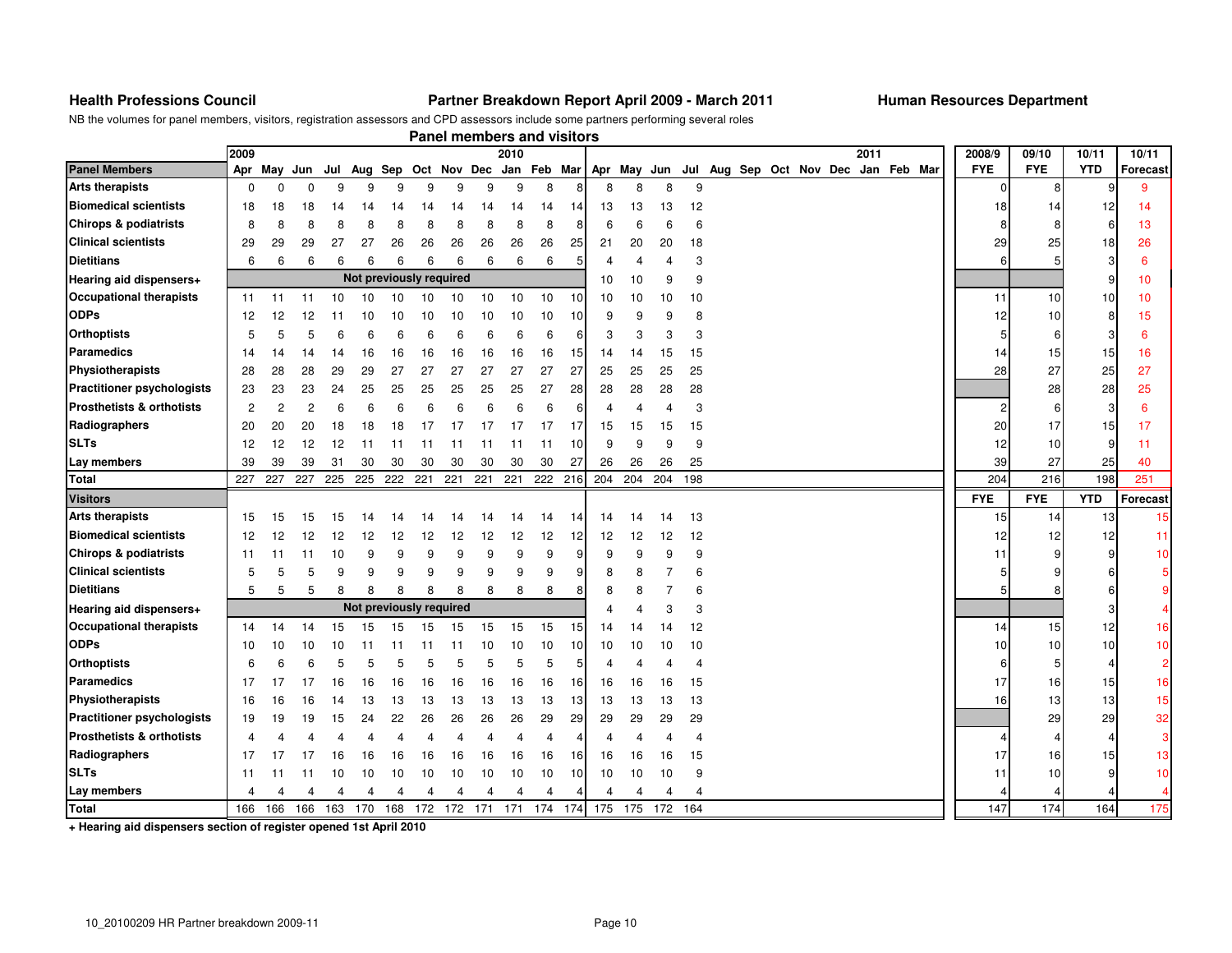#### **Health Professions Council Partner Breakdown Report April 2009 - March 2011 Human Resources Department**

NB the volumes for panel members, visitors, registration assessors and CPD assessors include some partners performing several roles

|                                      |                         |                |                |     |                         |     |     |     |     | Panel members and visitors |     |     |     |     |     |                                                 |  |  |      |  |                |            |                |                |
|--------------------------------------|-------------------------|----------------|----------------|-----|-------------------------|-----|-----|-----|-----|----------------------------|-----|-----|-----|-----|-----|-------------------------------------------------|--|--|------|--|----------------|------------|----------------|----------------|
|                                      | 2009                    |                |                |     |                         |     |     |     |     | 2010                       |     |     |     |     |     |                                                 |  |  | 2011 |  | 2008/9         | 09/10      | 10/11          | 10/11          |
| <b>Panel Members</b>                 |                         | Apr May        | Jun            | Jul | Aug Sep                 |     |     |     |     | Oct Nov Dec Jan Feb Mar    |     |     |     |     |     | Apr May Jun Jul Aug Sep Oct Nov Dec Jan Feb Mar |  |  |      |  | <b>FYE</b>     | <b>FYE</b> | <b>YTD</b>     | Forecast       |
| <b>Arts therapists</b>               | $\mathbf 0$             | $\mathbf 0$    | $\Omega$       | 9   | 9                       | 9   | 9   | 9   | 9   | 9                          | 8   | Я   | 8   | 8   | 8   | 9                                               |  |  |      |  | $\overline{0}$ | 8          | 9              | 9              |
| <b>Biomedical scientists</b>         | 18                      | 18             | 18             | 14  | 14                      | 14  | 14  | 14  | 14  | 14                         | 14  | 14  | 13  | 13  | 13  | 12                                              |  |  |      |  | 18             | 14         | 12             | 14             |
| Chirops & podiatrists                | 8                       | 8              | 8              | 8   | 8                       | 8   | 8   | 8   | 8   | 8                          | 8   | ε   | 6   | 6   | 6   | 6                                               |  |  |      |  | 8              | 8          | 6              | 13             |
| <b>Clinical scientists</b>           | 29                      | 29             | 29             | 27  | 27                      | 26  | 26  | 26  | 26  | 26                         | 26  | 25  | 21  | 20  | 20  | 18                                              |  |  |      |  | 29             | 25         | 18             | 26             |
| <b>Dietitians</b>                    | 6                       | 6              | 6              | 6   | 6                       | 6   | 6   | 6   | 6   | 6                          | 6   | 5   | 4   | 4   | 4   | 3                                               |  |  |      |  | 6              | 5          | 3              | 6              |
| Hearing aid dispensers+              | Not previously required |                |                |     |                         |     |     |     |     |                            | 10  | 10  | 9   | 9   |     |                                                 |  |  |      |  | 9              | 10         |                |                |
| <b>Occupational therapists</b>       | 11                      | 11             | 11             | 10  | 10                      | 10  | 10  | 10  | 10  | 10                         | 10  | 10  | 10  | 10  | 10  | 10                                              |  |  |      |  | 11             | 10         | 10             | 10             |
| <b>ODPs</b>                          | 12                      | 12             | 12             | 11  | 10                      | 10  | 10  | 10  | 10  | 10                         | 10  | 10  | 9   | 9   | 9   | 8                                               |  |  |      |  | 12             | 10         | 8              | 15             |
| <b>Orthoptists</b>                   | 5                       | 5              | 5              | 6   | 6                       | 6   | 6   | 6   | 6   | 6                          | 6   | 6   | 3   | 3   | 3   | 3                                               |  |  |      |  |                | 6          | 3              | 6              |
| Paramedics                           | 14                      | 14             | 14             | 14  | 16                      | 16  | 16  | 16  | 16  | 16                         | 16  | 15  | 14  | 14  | 15  | 15                                              |  |  |      |  | 14             | 15         | 15             | 16             |
| Physiotherapists                     | 28                      | 28             | 28             | 29  | 29                      | 27  | 27  | 27  | 27  | 27                         | 27  | 27  | 25  | 25  | 25  | 25                                              |  |  |      |  | 28             | 27         | 25             | 27             |
| <b>Practitioner psychologists</b>    | 23                      | 23             | 23             | 24  | 25                      | 25  | 25  | 25  | 25  | 25                         | 27  | 28  | 28  | 28  | 28  | 28                                              |  |  |      |  |                | 28         | 28             | 25             |
| <b>Prosthetists &amp; orthotists</b> | $\overline{c}$          | $\overline{c}$ | $\overline{2}$ | 6   | 6                       | 6   | 6   | 6   | 6   | 6                          | 6   | 6   | 4   | 4   | 4   | 3                                               |  |  |      |  |                | 6          | 3              | 6              |
| Radiographers                        | 20                      | 20             | 20             | 18  | 18                      | 18  | 17  | 17  | 17  | 17                         | 17  | 17  | 15  | 15  | 15  | 15                                              |  |  |      |  | 20             | 17         | 15             | 17             |
| <b>SLTs</b>                          | 12                      | 12             | 12             | 12  | 11                      | 11  | 11  | 11  | 11  | 11                         | 11  | 10  | 9   | 9   | 9   | 9                                               |  |  |      |  | 12             | 10         | 9              | -11            |
| Lay members                          | 39                      | 39             | 39             | 31  | 30                      | 30  | 30  | 30  | 30  | 30                         | 30  | 27  | 26  | 26  | 26  | 25                                              |  |  |      |  | 39             | 27         | 25             | 40             |
| <b>Total</b>                         | 227                     | 227            | 227            | 225 | 225                     | 222 | 221 | 221 | 221 | 221                        | 222 | 216 | 204 | 204 | 204 | 198                                             |  |  |      |  | 204            | 216        | 198            | 251            |
| <b>Visitors</b>                      |                         |                |                |     |                         |     |     |     |     |                            |     |     |     |     |     |                                                 |  |  |      |  | <b>FYE</b>     | <b>FYE</b> | <b>YTD</b>     | Forecast       |
| <b>Arts therapists</b>               | 15                      | 15             | 15             | 15  | 14                      | 14  | 14  | 14  | 14  | 14                         | 14  | 14  | 14  | 14  | 14  | 13                                              |  |  |      |  | 15             | 14         | 13             | 15             |
| <b>Biomedical scientists</b>         | 12                      | 12             | 12             | 12  | 12                      | 12  | 12  | 12  | 12  | 12                         | 12  | 12  | 12  | 12  | 12  | 12                                              |  |  |      |  | 12             | 12         | 12             | 11             |
| Chirops & podiatrists                | 11                      | 11             | 11             | 10  | 9                       | 9   | 9   | 9   | 9   | 9                          | 9   | 9   | 9   | 9   | 9   | 9                                               |  |  |      |  | 11             | 9          | 9              | 10             |
| <b>Clinical scientists</b>           | 5                       | 5              | 5              | 9   | 9                       | 9   | 9   | 9   | 9   | 9                          | 9   | 9   | 8   | 8   |     | 6                                               |  |  |      |  |                |            | 6              |                |
| <b>Dietitians</b>                    | 5                       | 5              | 5              | 8   | 8                       | 8   | 8   | 8   | 8   | 8                          | 8   | ε   | 8   | 8   |     | 6                                               |  |  |      |  |                |            | 6              |                |
| Hearing aid dispensers+              |                         |                |                |     | Not previously required |     |     |     |     |                            |     |     |     |     | З   | 3                                               |  |  |      |  |                |            | 3              |                |
| <b>Occupational therapists</b>       | 14                      | 14             | 14             | 15  | 15                      | 15  | 15  | 15  | 15  | 15                         | 15  | 15  | 14  | 14  | 14  | 12                                              |  |  |      |  | 14             | 15         | 12             | 16             |
| <b>ODPs</b>                          | 10                      | 10             | 10             | 10  | 11                      | 11  | 11  | 11  | 10  | 10                         | 10  | 10  | 10  | 10  | 10  | 10                                              |  |  |      |  | 10             | 10         | 10             | 10             |
| <b>Orthoptists</b>                   | 6                       | 6              | 6              | 5   | 5                       | 5   | 5   | 5   | 5   | 5                          | 5   | 5   | 4   |     |     | $\overline{\phantom{a}}$                        |  |  |      |  |                | 5          | $\overline{4}$ | $\overline{2}$ |
| <b>Paramedics</b>                    | 17                      | 17             | 17             | 16  | 16                      | 16  | 16  | 16  | 16  | 16                         | 16  | 16  | 16  | 16  | 16  | 15                                              |  |  |      |  | 17             | 16         | 15             | 16             |
| Physiotherapists                     | 16                      | 16             | 16             | 14  | 13                      | 13  | 13  | 13  | 13  | 13                         | 13  | 13  | 13  | 13  | 13  | 13                                              |  |  |      |  | 16             | 13         | 13             | 15             |
| <b>Practitioner psychologists</b>    | 19                      | 19             | 19             | 15  | 24                      | 22  | 26  | 26  | 26  | 26                         | 29  | 29  | 29  | 29  | 29  | 29                                              |  |  |      |  |                | 29         | 29             | 32             |
| <b>Prosthetists &amp; orthotists</b> | $\overline{4}$          |                | 4              | 4   | 4                       | 4   | 4   | 4   | 4   | 4                          | 4   | 4   | 4   | 4   | 4   | $\overline{\mathbf{r}}$                         |  |  |      |  |                |            | $\overline{4}$ | 3              |
| Radiographers                        | 17                      | 17             | 17             | 16  | 16                      | 16  | 16  | 16  | 16  | 16                         | 16  | 16  | 16  | 16  | 16  | 15                                              |  |  |      |  | 17             | 16         | 15             | 13             |
| <b>SLTs</b>                          | 11                      | 11             | 11             | 10  | 10                      | 10  | 10  | 10  | 10  | 10                         | 10  | 10  | 10  | 10  | 10  | 9                                               |  |  |      |  | 11             | 10         | 9              | 10             |
| Lay members                          | 4                       |                |                | 4   | 4                       | 4   | 4   | 4   | 4   | 4                          | 4   |     | 4   | 4   | 4   | 4                                               |  |  |      |  |                |            |                |                |
| <b>Total</b>                         | 166                     | 166            | 166            | 163 | 170                     | 168 | 172 | 172 | 171 | 171                        | 174 | 174 | 175 | 175 | 172 | 164                                             |  |  |      |  | 147            | 174        | 164            | 175            |

**+ Hearing aid dispensers section of register opened 1st April 2010**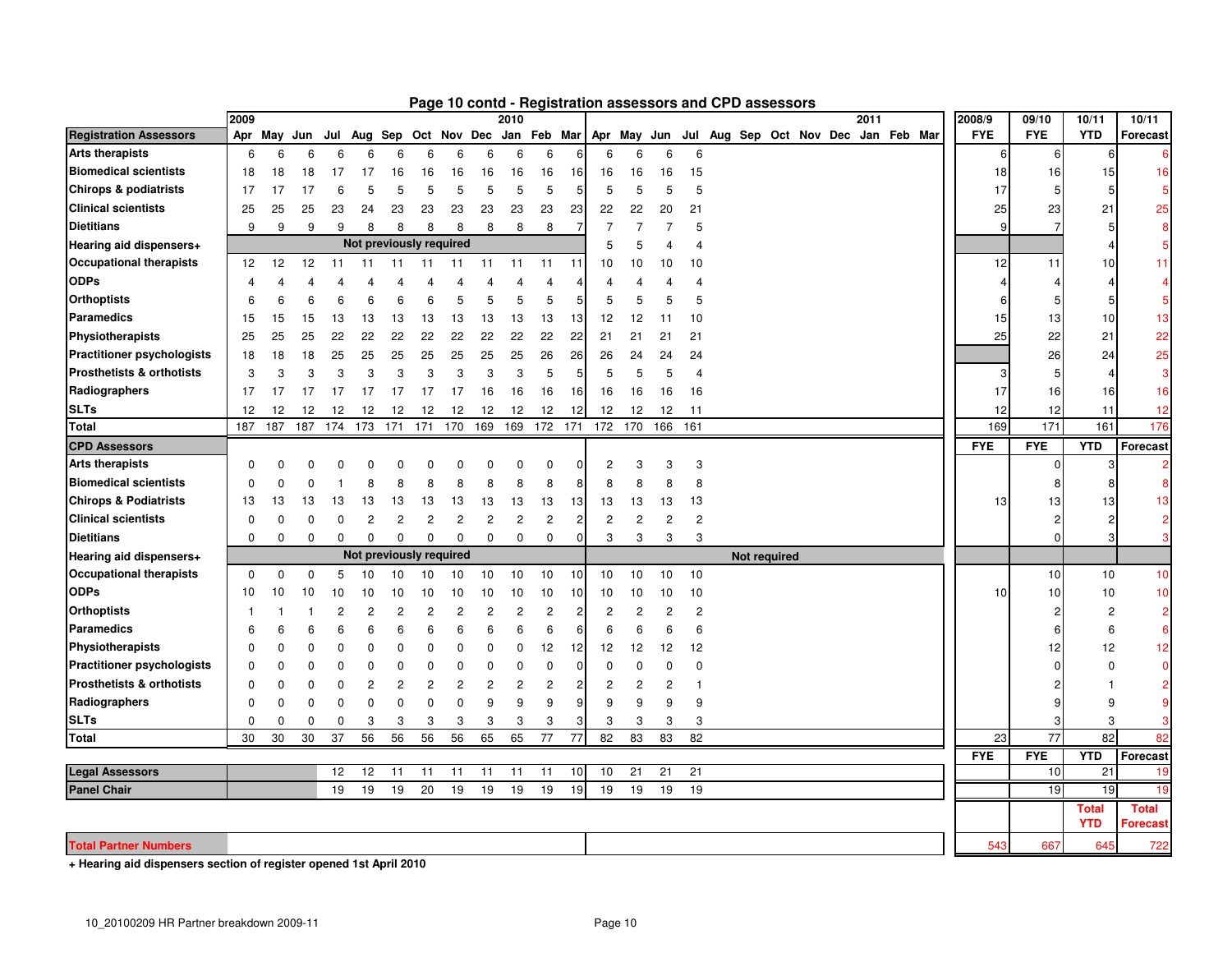|                                      | 2009           |                |             |                |                                 |                |                | , ago 10 conta |                | 2010           |                |     |                |                         |                | <b>Tregion anon assessors and Or D assessors</b> |              |  | 2011 |             | 2008/9     | 09/10      | 10/11                      | 10/11                    |
|--------------------------------------|----------------|----------------|-------------|----------------|---------------------------------|----------------|----------------|----------------|----------------|----------------|----------------|-----|----------------|-------------------------|----------------|--------------------------------------------------|--------------|--|------|-------------|------------|------------|----------------------------|--------------------------|
| <b>Registration Assessors</b>        | Apr            | May            | Jun         | Jul            | Aug Sep Oct Nov Dec Jan Feb Mar |                |                |                |                |                |                |     |                |                         |                | Apr May Jun Jul Aug Sep Oct Nov Dec              |              |  |      | Jan Feb Mar | <b>FYE</b> | <b>FYE</b> | <b>YTD</b>                 | Forecast                 |
| <b>Arts therapists</b>               | 6              | 6              | 6           | 6              | 6                               | 6              | 6              | 6              | 6              | 6              | 6              |     | 6              | 6                       | 6              | 6                                                |              |  |      |             | 6          |            | 6                          |                          |
| <b>Biomedical scientists</b>         | 18             | 18             | 18          | 17             | 17                              | 16             | 16             | 16             | 16             | 16             | 16             | 16  | 16             | 16                      | 16             | 15                                               |              |  |      |             | 18         | 16         | 15                         | 16                       |
| <b>Chirops &amp; podiatrists</b>     | 17             | 17             | 17          | 6              | 5                               | 5              | 5              | 5              | 5              | 5              | 5              | 5   | 5              | 5                       | 5              | 5                                                |              |  |      |             | 17         |            | 5                          |                          |
| <b>Clinical scientists</b>           | 25             | 25             | 25          | 23             | 24                              | 23             | 23             | 23             | 23             | 23             | 23             | 23  | 22             | 22                      | 20             | 21                                               |              |  |      |             | 25         | 23         | 21                         | 25                       |
| <b>Dietitians</b>                    | 9              | 9              | 9           | 9              | 8                               | 8              | 8              | 8              | 8              | 8              | 8              | 7   | $\overline{7}$ | 7                       | 7              | 5                                                |              |  |      |             | q          |            | 5                          | 8                        |
| Hearing aid dispensers+              |                |                |             |                | Not previously required         |                |                |                |                |                |                |     | 5              | 5                       | 4              | 4                                                |              |  |      |             |            |            |                            |                          |
| <b>Occupational therapists</b>       | 12             | 12             | 12          | 11             | 11                              | 11             | 11             | 11             | 11             | 11             | 11             | 11  | 10             | 10                      | 10             | 10                                               |              |  |      |             | 12         | 11         | 10                         | 11                       |
| <b>ODPs</b>                          | $\overline{4}$ | $\overline{4}$ | 4           |                |                                 | 4              | 4              | 4              | 4              | 4              | 4              |     | 4              | 4                       | 4              |                                                  |              |  |      |             |            |            | 4                          |                          |
| <b>Orthoptists</b>                   | 6              | 6              | 6           | 6              | 6                               | 6              | 6              | 5              | 5              | 5              | 5              | 5   | 5              | 5                       | 5              | 5                                                |              |  |      |             |            |            | 5                          | 5                        |
| <b>Paramedics</b>                    | 15             | 15             | 15          | 13             | 13                              | 13             | 13             | 13             | 13             | 13             | 13             | 13  | 12             | 12                      | 11             | 10                                               |              |  |      |             | 15         | 13         | 10                         | 13                       |
| Physiotherapists                     | 25             | 25             | 25          | 22             | 22                              | 22             | 22             | 22             | 22             | 22             | 22             | 22  | 21             | 21                      | 21             | 21                                               |              |  |      |             | 25         | 22         | 21                         | 22                       |
| <b>Practitioner psychologists</b>    | 18             | 18             | 18          | 25             | 25                              | 25             | 25             | 25             | 25             | 25             | 26             | 26  | 26             | 24                      | 24             | 24                                               |              |  |      |             |            | 26         | 24                         | 25                       |
| <b>Prosthetists &amp; orthotists</b> | 3              | 3              | 3           | 3              | 3                               | 3              | 3              | 3              | 3              | 3              | 5              | 5   | 5              | 5                       | 5              | $\overline{4}$                                   |              |  |      |             |            |            | 4                          | 3                        |
| Radiographers                        | 17             | 17             | 17          | 17             | 17                              | 17             | 17             | 17             | 16             | 16             | 16             | 16  | 16             | 16                      | 16             | 16                                               |              |  |      |             | 17         | 16         | 16                         | 16                       |
| <b>SLTs</b>                          | 12             | 12             | 12          | 12             | 12                              | 12             | 12             | 12             | 12             | 12             | 12             | 12  | 12             | 12                      | 12             | 11                                               |              |  |      |             | 12         | 12         | 11                         | 12                       |
| <b>Total</b>                         | 187            | 187            | 187         | 174            | 173                             | 171            | 171            | 170            | 169            | 169            | 172            | 171 | 172            | 170                     | 166            | 161                                              |              |  |      |             | 169        | 171        | 161                        | 176                      |
| <b>CPD Assessors</b>                 |                |                |             |                |                                 |                |                |                |                |                |                |     |                |                         |                |                                                  |              |  |      |             | <b>FYE</b> | <b>FYE</b> | <b>YTD</b>                 | <b>Forecast</b>          |
| <b>Arts therapists</b>               | $\mathbf 0$    | $\mathbf 0$    | $\Omega$    | 0              | 0                               | 0              | 0              | 0              | 0              | 0              | 0              |     | $\overline{2}$ | 3                       | 3              | 3                                                |              |  |      |             |            |            | 3                          |                          |
| <b>Biomedical scientists</b>         | $\Omega$       | $\Omega$       | $\mathbf 0$ |                | 8                               | 8              | 8              | 8              | 8              | 8              | 8              | 8   | 8              | 8                       | 8              | 8                                                |              |  |      |             |            |            | 8                          |                          |
| <b>Chirops &amp; Podiatrists</b>     | 13             | 13             | 13          | 13             | 13                              | 13             | 13             | 13             | 13             | 13             | 13             | 13  | 13             | 13                      | 13             | 13                                               |              |  |      |             | 13         | 13         | 13                         | 13                       |
| <b>Clinical scientists</b>           | $\Omega$       | $\Omega$       | $\mathbf 0$ | $\Omega$       | $\overline{2}$                  | $\overline{c}$ | $\overline{c}$ | $\overline{c}$ | $\overline{c}$ | $\overline{2}$ | $\overline{c}$ | 2   | $\overline{c}$ | $\overline{\mathbf{c}}$ | $\overline{c}$ | $\overline{\mathbf{c}}$                          |              |  |      |             |            |            | 2                          |                          |
| <b>Dietitians</b>                    | $\mathbf 0$    | $\mathbf 0$    | $\mathbf 0$ | $\Omega$       | $\Omega$                        | $\Omega$       | $\Omega$       | $\Omega$       | $\mathbf 0$    | $\Omega$       | 0              | O   | 3              | 3                       | 3              | 3                                                |              |  |      |             |            | U          | 3                          |                          |
| Hearing aid dispensers+              |                |                |             |                | Not previously required         |                |                |                |                |                |                |     |                |                         |                |                                                  | Not required |  |      |             |            |            |                            |                          |
| <b>Occupational therapists</b>       | $\mathbf 0$    | $\mathbf 0$    | $\mathbf 0$ | 5              | 10                              | 10             | 10             | 10             | 10             | 10             | 10             | 10  | 10             | 10                      | 10             | 10                                               |              |  |      |             |            | 10         | 10                         | 10                       |
| <b>ODPs</b>                          | 10             | 10             | 10          | 10             | 10                              | 10             | 10             | 10             | 10             | 10             | 10             | 10  | 10             | 10                      | 10             | 10                                               |              |  |      |             | 10         | 10         | 10                         | 10                       |
| <b>Orthoptists</b>                   | -1             |                | -1          | $\overline{c}$ | 2                               | 2              | 2              | 2              | 2              | 2              | 2              | 2   | 2              | 2                       | 2              | 2                                                |              |  |      |             |            |            | 2                          | $\overline{\mathbf{c}}$  |
| Paramedics                           | 6              | 6              | 6           | 6              | 6                               | 6              | 6              | 6              | 6              | 6              | 6              | 6   | 6              | 6                       | 6              | 6                                                |              |  |      |             |            |            | 6                          | 6                        |
| Physiotherapists                     | $\mathbf 0$    | 0              | 0           | $\mathbf 0$    | $\mathbf 0$                     | 0              | 0              | $\Omega$       | $\mathbf 0$    | $\Omega$       | 12             | 12  | 12             | 12                      | 12             | 12                                               |              |  |      |             |            | 12         | 12                         | 12                       |
| <b>Practitioner psychologists</b>    | 0              | $\mathbf 0$    | $\mathbf 0$ | $\mathbf 0$    | $\Omega$                        | $\Omega$       | 0              | $\Omega$       | $\Omega$       | $\Omega$       | $\mathbf 0$    | O   | $\Omega$       | $\Omega$                | $\Omega$       | $\Omega$                                         |              |  |      |             |            |            | 0                          | $\Omega$                 |
| <b>Prosthetists &amp; orthotists</b> | 0              | 0              | 0           | 0              | $\overline{c}$                  | $\overline{c}$ | $\overline{c}$ | $\overline{2}$ | $\overline{2}$ | $\overline{2}$ | $\overline{c}$ | 2   | $\overline{c}$ | 2                       | 2              | 1                                                |              |  |      |             |            |            |                            | $\overline{2}$           |
| Radiographers                        | $\mathbf 0$    | $\mathbf 0$    | $\mathbf 0$ | $\mathbf 0$    | $\mathbf 0$                     | $\mathbf 0$    | $\mathbf 0$    | $\mathbf 0$    | 9              | 9              | 9              | q   | 9              | 9                       | 9              | 9                                                |              |  |      |             |            |            | 9                          | 9                        |
| <b>SLTs</b>                          | $\mathbf 0$    | $\Omega$       | $\mathbf 0$ | $\Omega$       | 3                               | 3              | 3              | 3              | 3              | 3              | 3              |     | 3              | 3                       | 3              | 3                                                |              |  |      |             |            |            | 3                          |                          |
| <b>Total</b>                         | 30             | 30             | 30          | 37             | 56                              | 56             | 56             | 56             | 65             | 65             | 77             | 77  | 82             | 83                      | 83             | 82                                               |              |  |      |             | 23         | 77         | 82                         | 82                       |
|                                      |                |                |             |                |                                 |                |                |                |                |                |                |     |                |                         |                |                                                  |              |  |      |             | <b>FYE</b> | <b>FYE</b> | <b>YTD</b>                 | Forecast                 |
| <b>Legal Assessors</b>               |                |                |             | 12             | 12                              | 11             | 11             | 11             | 11             | 11             | 11             | 10  | 10             | 21                      | 21             | 21                                               |              |  |      |             |            | 10         | 21                         | 19                       |
| <b>Panel Chair</b>                   |                |                |             | 19             | 19                              | 19             | 20             | 19             | 19             | 19             | 19             | 19  | 19             | 19                      | 19             | 19                                               |              |  |      |             |            | 19         | 19                         | 19                       |
|                                      |                |                |             |                |                                 |                |                |                |                |                |                |     |                |                         |                |                                                  |              |  |      |             |            |            | <b>Total</b><br><b>YTD</b> | <b>Total</b><br>Forecast |
| <b>Total Partner Numbers</b>         |                |                |             |                |                                 |                |                |                |                |                |                |     |                |                         |                |                                                  |              |  |      |             | 543        | 667        | 645                        | 722                      |

**Page 10 contd - Registration assessors and CPD assessors**

**+ Hearing aid dispensers section of register opened 1st April 2010**